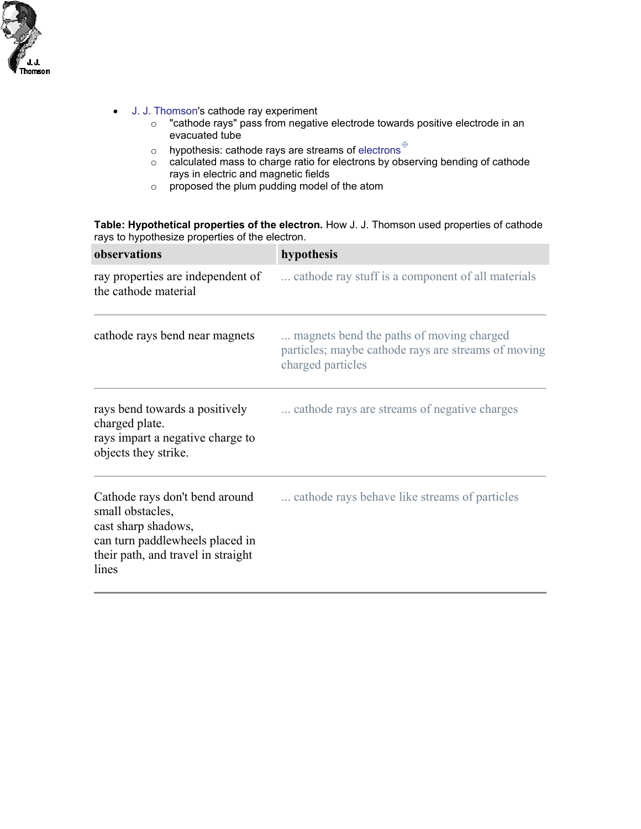

- [J. J. Thomson](http://pl.nobel.se/laureates/physics-1906-1-bio.html)'s cathode ray experiment
	- o "cathode rays" pass from negative electrode towards positive electrode in an evacuated tube
	- $\circ$  hypothesis: cathode rays are streams of electrons<sup> $\Phi$ </sup>
	- o calculated mass to charge ratio for electrons by observing bending of cathode rays in electric and magnetic fields
	- o proposed the plum pudding model of the atom

**Table: Hypothetical properties of the electron.** How J. J. Thomson used properties of cathode rays to hypothesize properties of the electron.

| observations                                                                                                                                                | hypothesis                                                                                                           |
|-------------------------------------------------------------------------------------------------------------------------------------------------------------|----------------------------------------------------------------------------------------------------------------------|
| ray properties are independent of<br>the cathode material                                                                                                   | cathode ray stuff is a component of all materials                                                                    |
| cathode rays bend near magnets                                                                                                                              | magnets bend the paths of moving charged<br>particles; maybe cathode rays are streams of moving<br>charged particles |
| rays bend towards a positively<br>charged plate.<br>rays impart a negative charge to<br>objects they strike.                                                | cathode rays are streams of negative charges                                                                         |
| Cathode rays don't bend around<br>small obstacles,<br>cast sharp shadows,<br>can turn paddlewheels placed in<br>their path, and travel in straight<br>lines | cathode rays behave like streams of particles                                                                        |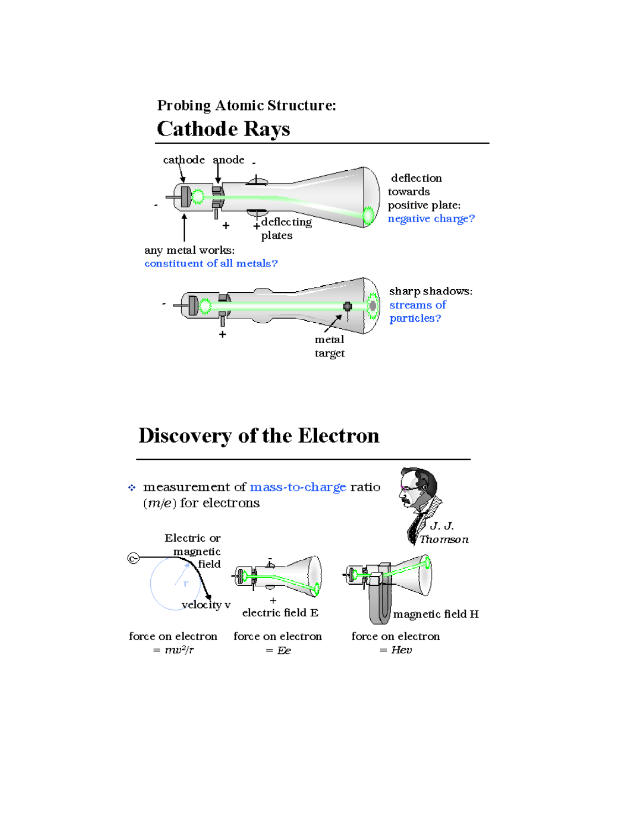### Probing Atomic Structure: **Cathode Rays**



# **Discovery of the Electron**

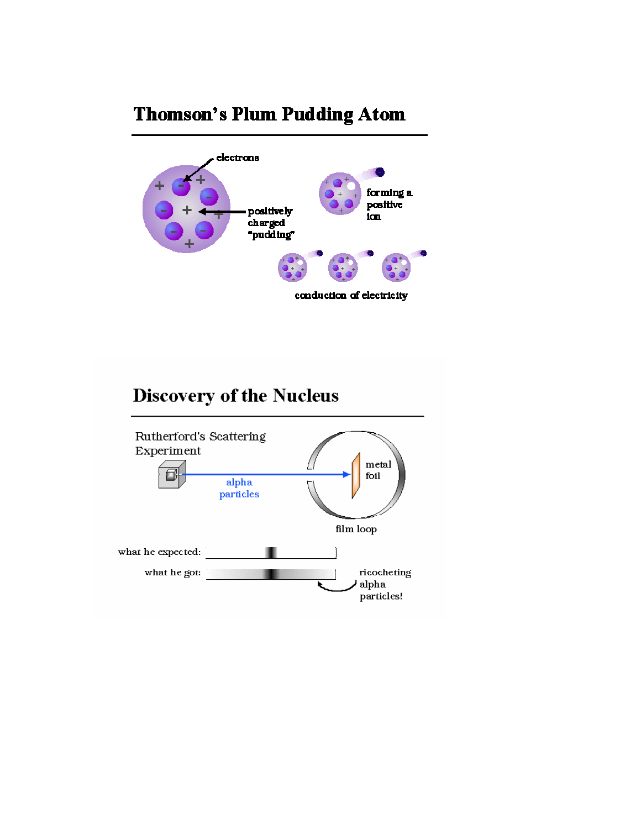# **Thomson's Plum Pudding Atom**



## **Discovery of the Nucleus**

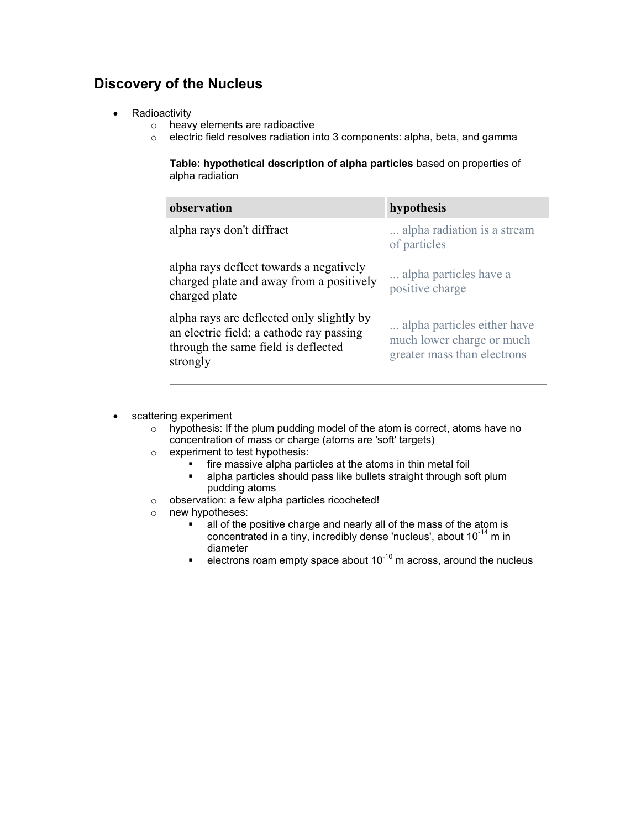### **Discovery of the Nucleus**

- Radioactivity
	- o heavy elements are radioactive
	- o electric field resolves radiation into 3 components: alpha, beta, and gamma

**Table: hypothetical description of alpha particles** based on properties of alpha radiation

| observation                                                                                                                              | hypothesis                                                                              |
|------------------------------------------------------------------------------------------------------------------------------------------|-----------------------------------------------------------------------------------------|
| alpha rays don't diffract                                                                                                                | alpha radiation is a stream<br>of particles                                             |
| alpha rays deflect towards a negatively<br>charged plate and away from a positively<br>charged plate                                     | alpha particles have a<br>positive charge                                               |
| alpha rays are deflected only slightly by<br>an electric field; a cathode ray passing<br>through the same field is deflected<br>strongly | alpha particles either have<br>much lower charge or much<br>greater mass than electrons |

- scattering experiment
	- $\circ$  hypothesis: If the plum pudding model of the atom is correct, atoms have no concentration of mass or charge (atoms are 'soft' targets)
	- o experiment to test hypothesis:
		- fire massive alpha particles at the atoms in thin metal foil
		- **EXECT** alpha particles should pass like bullets straight through soft plum pudding atoms
	- o observation: a few alpha particles ricocheted!
	- o new hypotheses:
		- $\overline{\phantom{a}}$  all of the positive charge and nearly all of the mass of the atom is concentrated in a tiny, incredibly dense 'nucleus', about  $10^{-14}$  m in diameter
		- electrons roam empty space about  $10^{-10}$  m across, around the nucleus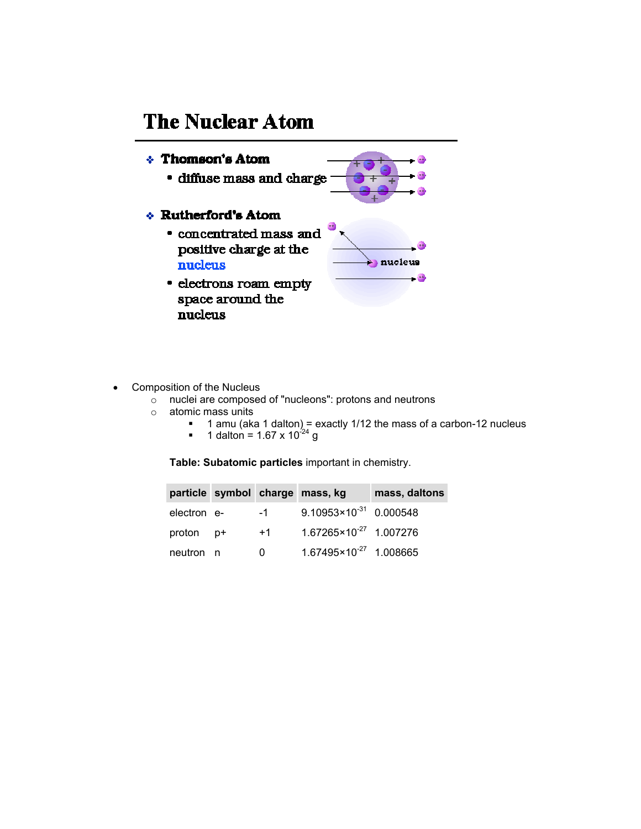### **The Nuclear Atom**

#### $\div$  Thomson's Atom

· diffuse mass and charge

### $\div$  Rutherford's Atom

- concentrated mass and positive charge at the nucleus
- electrons roam empty space around the nucleus



- Composition of the Nucleus
	- o nuclei are composed of "nucleons": protons and neutrons
	- o atomic mass units
		- $\blacksquare$  1 amu (aka 1 dalton) = exactly 1/12 the mass of a carbon-12 nucleus
		- $1$  dalton = 1.67 x 10<sup>-24</sup> g

**Table: Subatomic particles** important in chemistry.

|             |                         | particle symbol charge mass, kg    | mass, daltons |
|-------------|-------------------------|------------------------------------|---------------|
| electron e- | $-1$                    | $9.10953 \times 10^{-31}$ 0.000548 |               |
| proton p+   | $+1$                    | $1.67265 \times 10^{-27}$ 1.007276 |               |
| neutron n   | $\overline{\mathbf{0}}$ | $1.67495 \times 10^{-27}$ 1.008665 |               |